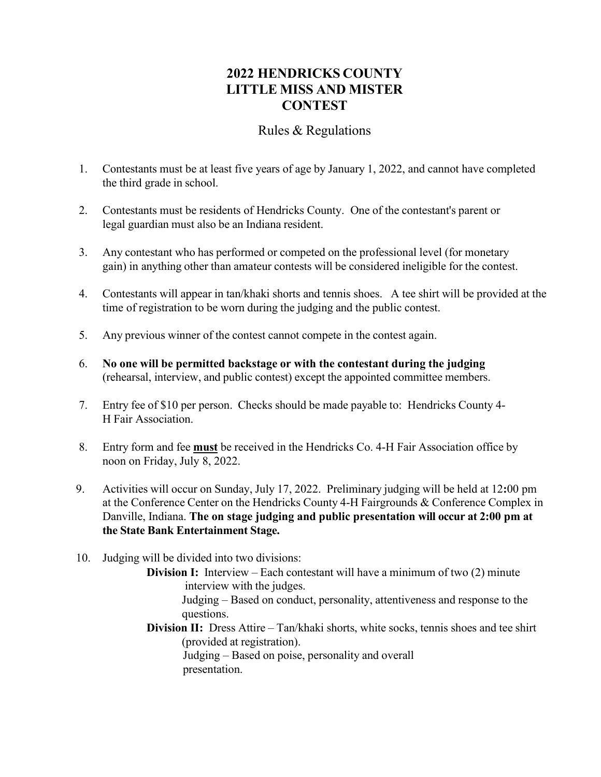## **2022 HENDRICKS COUNTY LITTLE MISS AND MISTER CONTEST**

## Rules & Regulations

- 1. Contestants must be at least five years of age by January 1, 2022, and cannot have completed the third grade in school.
- 2. Contestants must be residents of Hendricks County. One of the contestant's parent or legal guardian must also be an Indiana resident.
- 3. Any contestant who has performed or competed on the professional level (for monetary gain) in anything other than amateur contests will be considered ineligible for the contest.
- 4. Contestants will appear in tan/khaki shorts and tennis shoes. A tee shirt will be provided at the time of registration to be worn during the judging and the public contest.
- 5. Any previous winner of the contest cannot compete in the contest again.
- 6. **No one will be permitted backstage or with the contestant during the judging** (rehearsal, interview, and public contest) except the appointed committee members.
- 7. Entry fee of \$10 per person. Checks should be made payable to: Hendricks County 4- H Fair Association.
- 8. Entry form and fee **must** be received in the Hendricks Co. 4-H Fair Association office by noon on Friday, July 8, 2022.
- 9. Activities will occur on Sunday, July 17, 2022. Preliminary judging will be held at 12**:**00 pm at the Conference Center on the Hendricks County 4-H Fairgrounds & Conference Complex in Danville, Indiana. **The on stage judging and public presentation will occur at 2:00 pm at the State Bank Entertainment Stage.**
- 10. Judging will be divided into two divisions:
	- **Division I:** Interview Each contestant will have a minimum of two (2) minute interview with the judges.

Judging – Based on conduct, personality, attentiveness and response to the questions.

**Division II:** Dress Attire – Tan/khaki shorts, white socks, tennis shoes and tee shirt (provided at registration).

Judging – Based on poise, personality and overall presentation.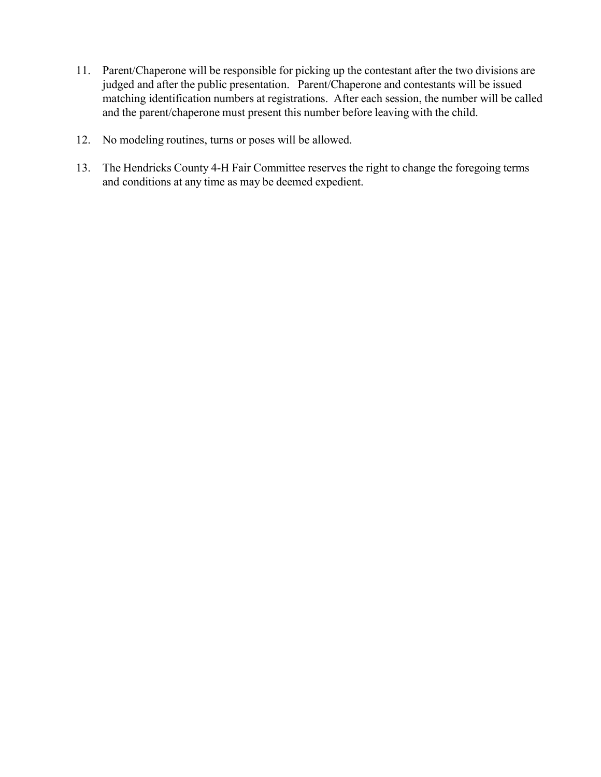- 11. Parent/Chaperone will be responsible for picking up the contestant after the two divisions are judged and after the public presentation. Parent/Chaperone and contestants will be issued matching identification numbers at registrations. After each session, the number will be called and the parent/chaperone must present this number before leaving with the child.
- 12. No modeling routines, turns or poses will be allowed.
- 13. The Hendricks County 4-H Fair Committee reserves the right to change the foregoing terms and conditions at any time as may be deemed expedient.